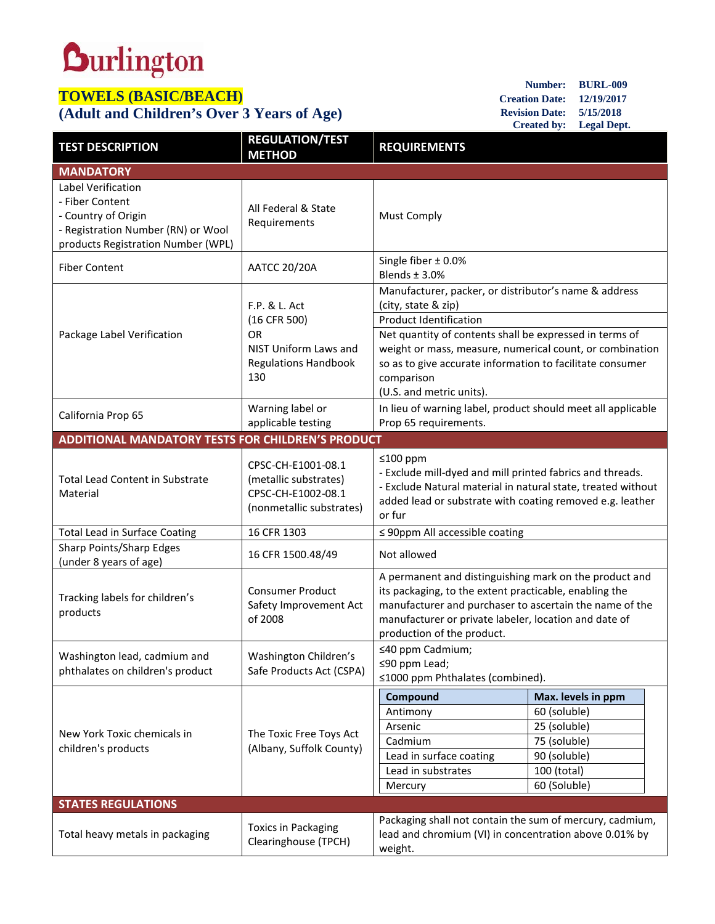## **Durlington**

## **TOWELS (BASIC/BEACH)**

## **(Adult and Children's Over 3 Years of Age)**

| Number:               | <b>BURL-009</b>    |
|-----------------------|--------------------|
| <b>Creation Date:</b> | 12/19/2017         |
| <b>Revision Date:</b> | 5/15/2018          |
| <b>Created by:</b>    | <b>Legal Dept.</b> |

| <b>TEST DESCRIPTION</b>                                                                                                                  | <b>REGULATION/TEST</b><br><b>METHOD</b>                                                                   | <b>REQUIREMENTS</b>                                                                                                                                                                                                                                                |                    |  |  |
|------------------------------------------------------------------------------------------------------------------------------------------|-----------------------------------------------------------------------------------------------------------|--------------------------------------------------------------------------------------------------------------------------------------------------------------------------------------------------------------------------------------------------------------------|--------------------|--|--|
| <b>MANDATORY</b>                                                                                                                         |                                                                                                           |                                                                                                                                                                                                                                                                    |                    |  |  |
| Label Verification<br>- Fiber Content<br>- Country of Origin<br>- Registration Number (RN) or Wool<br>products Registration Number (WPL) | All Federal & State<br>Requirements                                                                       | <b>Must Comply</b>                                                                                                                                                                                                                                                 |                    |  |  |
| <b>Fiber Content</b>                                                                                                                     | <b>AATCC 20/20A</b>                                                                                       | Single fiber $\pm$ 0.0%<br>Blends $\pm$ 3.0%                                                                                                                                                                                                                       |                    |  |  |
| Package Label Verification                                                                                                               | F.P. & L. Act<br>(16 CFR 500)<br><b>OR</b><br>NIST Uniform Laws and<br><b>Regulations Handbook</b><br>130 | Manufacturer, packer, or distributor's name & address<br>(city, state & zip)<br><b>Product Identification</b>                                                                                                                                                      |                    |  |  |
|                                                                                                                                          |                                                                                                           | Net quantity of contents shall be expressed in terms of<br>weight or mass, measure, numerical count, or combination<br>so as to give accurate information to facilitate consumer<br>comparison<br>(U.S. and metric units).                                         |                    |  |  |
| California Prop 65                                                                                                                       | Warning label or<br>applicable testing                                                                    | In lieu of warning label, product should meet all applicable<br>Prop 65 requirements.                                                                                                                                                                              |                    |  |  |
| <b>ADDITIONAL MANDATORY TESTS FOR CHILDREN'S PRODUCT</b>                                                                                 |                                                                                                           |                                                                                                                                                                                                                                                                    |                    |  |  |
| <b>Total Lead Content in Substrate</b><br>Material                                                                                       | CPSC-CH-E1001-08.1<br>(metallic substrates)<br>CPSC-CH-E1002-08.1<br>(nonmetallic substrates)             | ≤100 ppm<br>- Exclude mill-dyed and mill printed fabrics and threads.<br>- Exclude Natural material in natural state, treated without<br>added lead or substrate with coating removed e.g. leather<br>or fur                                                       |                    |  |  |
| <b>Total Lead in Surface Coating</b>                                                                                                     | 16 CFR 1303                                                                                               | $\leq$ 90ppm All accessible coating                                                                                                                                                                                                                                |                    |  |  |
| Sharp Points/Sharp Edges<br>(under 8 years of age)                                                                                       | 16 CFR 1500.48/49                                                                                         | Not allowed                                                                                                                                                                                                                                                        |                    |  |  |
| Tracking labels for children's<br>products                                                                                               | <b>Consumer Product</b><br>Safety Improvement Act<br>of 2008                                              | A permanent and distinguishing mark on the product and<br>its packaging, to the extent practicable, enabling the<br>manufacturer and purchaser to ascertain the name of the<br>manufacturer or private labeler, location and date of<br>production of the product. |                    |  |  |
| Washington lead, cadmium and<br>phthalates on children's product                                                                         | Washington Children's<br>Safe Products Act (CSPA)                                                         | ≤40 ppm Cadmium;<br>≤90 ppm Lead;<br>≤1000 ppm Phthalates (combined).                                                                                                                                                                                              |                    |  |  |
|                                                                                                                                          | The Toxic Free Toys Act<br>(Albany, Suffolk County)                                                       | Compound                                                                                                                                                                                                                                                           | Max. levels in ppm |  |  |
|                                                                                                                                          |                                                                                                           | Antimony                                                                                                                                                                                                                                                           | 60 (soluble)       |  |  |
| New York Toxic chemicals in                                                                                                              |                                                                                                           | Arsenic                                                                                                                                                                                                                                                            | 25 (soluble)       |  |  |
| children's products                                                                                                                      |                                                                                                           | Cadmium                                                                                                                                                                                                                                                            | 75 (soluble)       |  |  |
|                                                                                                                                          |                                                                                                           | Lead in surface coating                                                                                                                                                                                                                                            | 90 (soluble)       |  |  |
|                                                                                                                                          |                                                                                                           | Lead in substrates                                                                                                                                                                                                                                                 | 100 (total)        |  |  |
|                                                                                                                                          |                                                                                                           | Mercury                                                                                                                                                                                                                                                            | 60 (Soluble)       |  |  |
| <b>STATES REGULATIONS</b>                                                                                                                |                                                                                                           |                                                                                                                                                                                                                                                                    |                    |  |  |
| Total heavy metals in packaging                                                                                                          | <b>Toxics in Packaging</b><br>Clearinghouse (TPCH)                                                        | Packaging shall not contain the sum of mercury, cadmium,<br>lead and chromium (VI) in concentration above 0.01% by<br>weight.                                                                                                                                      |                    |  |  |